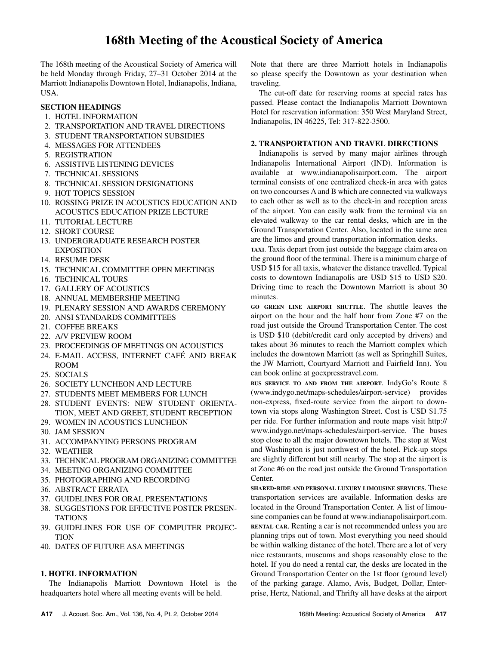# **168th Meeting of the Acoustical Society of America**

The 168th meeting of the Acoustical Society of America will be held Monday through Friday, 27–31 October 2014 at the Marriott Indianapolis Downtown Hotel, Indianapolis, Indiana, USA.

# **SECTION HEADINGS**

- 1. HOTEL INFORMATION
- 2. TRANSPORTATION AND TRAVEL DIRECTIONS
- 3. STUDENT TRANSPORTATION SUBSIDIES
- 4. MESSAGES FOR ATTENDEES
- 5. REGISTRATION
- 6. ASSISTIVE LISTENING DEVICES
- 7. TECHNICAL SESSIONS
- 8. TECHNICAL SESSION DESIGNATIONS
- 9. HOT TOPICS SESSION
- 10. ROSSING PRIZE IN ACOUSTICS EDUCATION AND ACOUSTICS EDUCATION PRIZE LECTURE
- 11. TUTORIAL LECTURE
- 12. SHORT COURSE
- 13. UNDERGRADUATE RESEARCH POSTER EXPOSITION
- 14. RESUME DESK
- 15. TECHNICAL COMMITTEE OPEN MEETINGS
- 16. TECHNICAL TOURS
- 17. GALLERY OF ACOUSTICS
- 18. ANNUAL MEMBERSHIP MEETING
- 19. PLENARY SESSION AND AWARDS CEREMONY
- 20. ANSI STANDARDS COMMITTEES
- 21. COFFEE BREAKS
- 22. A/V PREVIEW ROOM
- 23. PROCEEDINGS OF MEETINGS ON ACOUSTICS
- 24. E-MAIL ACCESS, INTERNET CAFÉ AND BREAK ROOM
- 25. SOCIALS
- 26. SOCIETY LUNCHEON AND LECTURE
- 27. STUDENTS MEET MEMBERS FOR LUNCH
- 28. STUDENT EVENTS: NEW STUDENT ORIENTA-TION, MEET AND GREET, STUDENT RECEPTION
- 29. WOMEN IN ACOUSTICS LUNCHEON
- 30. JAM SESSION
- 31. ACCOMPANYING PERSONS PROGRAM
- 32. WEATHER
- 33. TECHNICAL PROGRAM ORGANIZING COMMITTEE
- 34. MEETING ORGANIZING COMMITTEE
- 35. PHOTOGRAPHING AND RECORDING
- 36. ABSTRACT ERRATA
- 37. GUIDELINES FOR ORAL PRESENTATIONS
- 38. SUGGESTIONS FOR EFFECTIVE POSTER PRESEN-TATIONS
- 39. GUIDELINES FOR USE OF COMPUTER PROJEC-**TION**
- 40. DATES OF FUTURE ASA MEETINGS

### **1. HOTEL INFORMATION**

The Indianapolis Marriott Downtown Hotel is the headquarters hotel where all meeting events will be held.

Note that there are three Marriott hotels in Indianapolis so please specify the Downtown as your destination when traveling.

The cut-off date for reserving rooms at special rates has passed. Please contact the Indianapolis Marriott Downtown Hotel for reservation information: 350 West Maryland Street, Indianapolis, IN 46225, Tel: 317-822-3500.

### **2. TRANSPORTATION AND TRAVEL DIRECTIONS**

Indianapolis is served by many major airlines through Indianapolis International Airport (IND). Information is available at www.indianapolisairport.com. The airport terminal consists of one centralized check-in area with gates on two concourses A and B which are connected via walkways to each other as well as to the check-in and reception areas of the airport. You can easily walk from the terminal via an elevated walkway to the car rental desks, which are in the Ground Transportation Center. Also, located in the same area are the limos and ground transportation information desks.

**TAXI**. Taxis depart from just outside the baggage claim area on the ground floor of the terminal. There is a minimum charge of USD \$15 for all taxis, whatever the distance travelled. Typical costs to downtown Indianapolis are USD \$15 to USD \$20. Driving time to reach the Downtown Marriott is about 30 minutes.

**GO GREEN LINE AIRPORT SHUTTLE**. The shuttle leaves the airport on the hour and the half hour from Zone #7 on the road just outside the Ground Transportation Center. The cost is USD \$10 (debit/credit card only accepted by drivers) and takes about 36 minutes to reach the Marriott complex which includes the downtown Marriott (as well as Springhill Suites, the JW Marriott, Courtyard Marriott and Fairfield Inn). You can book online at goexpresstravel.com.

**BUS SERVICE TO AND FROM THE AIRPORT**. IndyGo's Route 8 (www.indygo.net/maps-schedules/airport-service) provides non-express, fixed-route service from the airport to downtown via stops along Washington Street. Cost is USD \$1.75 per ride. For further information and route maps visit http:// www.indygo.net/maps-schedules/airport-service. The buses stop close to all the major downtown hotels. The stop at West and Washington is just northwest of the hotel. Pick-up stops are slightly different but still nearby. The stop at the airport is at Zone #6 on the road just outside the Ground Transportation Center.

**SHARED-RIDE AND PERSONAL LUXURY LIMOUSINE SERVICES**. These transportation services are available. Information desks are located in the Ground Transportation Center. A list of limousine companies can be found at www.indianapolisairport.com. **RENTAL CAR**. Renting a car is not recommended unless you are planning trips out of town. Most everything you need should be within walking distance of the hotel. There are a lot of very nice restaurants, museums and shops reasonably close to the hotel. If you do need a rental car, the desks are located in the Ground Transportation Center on the 1st floor (ground level) of the parking garage. Alamo, Avis, Budget, Dollar, Enterprise, Hertz, National, and Thrifty all have desks at the airport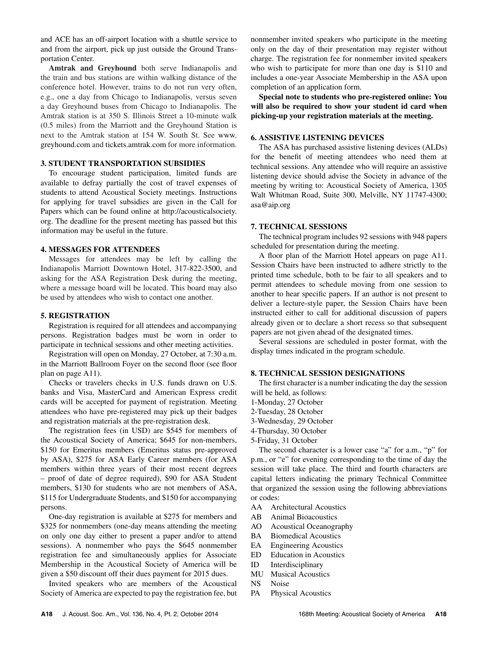and ACE has an off-airport location with a shuttle service to and from the airport, pick up just outside the Ground Transportation Center.

**Amtrak and Greyhound** both serve Indianapolis and the train and bus stations are within walking distance of the conference hotel. However, trains to do not run very often, e.g., one a day from Chicago to Indianapolis, versus seven a day Greyhound buses from Chicago to Indianapolis. The Amtrak station is at 350 S. Illinois Street a 10-minute walk (0.5 miles) from the Marriott and the Greyhound Station is next to the Amtrak station at 154 W. South St. See www. greyhound.com and tickets.amtrak.com for more information.

#### **3. STUDENT TRANSPORTATION SUBSIDIES**

To encourage student participation, limited funds are available to defray partially the cost of travel expenses of students to attend Acoustical Society meetings. Instructions for applying for travel subsidies are given in the Call for Papers which can be found online at http://acousticalsociety. org. The deadline for the present meeting has passed but this information may be useful in the future.

#### **4. MESSAGES FOR ATTENDEES**

Messages for attendees may be left by calling the Indianapolis Marriott Downtown Hotel, 317-822-3500, and asking for the ASA Registration Desk during the meeting, where a message board will be located. This board may also be used by attendees who wish to contact one another.

#### **5. REGISTRATION**

Registration is required for all attendees and accompanying persons. Registration badges must be worn in order to participate in technical sessions and other meeting activities.

Registration will open on Monday, 27 October, at 7:30 a.m. in the Marriott Ballroom Foyer on the second floor (see floor plan on page A11).

Checks or travelers checks in U.S. funds drawn on U.S. banks and Visa, MasterCard and American Express credit cards will be accepted for payment of registration. Meeting attendees who have pre-registered may pick up their badges and registration materials at the pre-registration desk.

The registration fees (in USD) are \$545 for members of the Acoustical Society of America; \$645 for non-members, \$150 for Emeritus members (Emeritus status pre-approved by ASA), \$275 for ASA Early Career members (for ASA members within three years of their most recent degrees – proof of date of degree required), \$90 for ASA Student members, \$130 for students who are not members of ASA, \$115 for Undergraduate Students, and \$150 for accompanying persons.

One-day registration is available at \$275 for members and \$325 for nonmembers (one-day means attending the meeting on only one day either to present a paper and/or to attend sessions). A nonmember who pays the \$645 nonmember registration fee and simultaneously applies for Associate Membership in the Acoustical Society of America will be given a \$50 discount off their dues payment for 2015 dues.

Invited speakers who are members of the Acoustical Society of America are expected to pay the registration fee, but nonmember invited speakers who participate in the meeting only on the day of their presentation may register without charge. The registration fee for nonmember invited speakers who wish to participate for more than one day is \$110 and includes a one-year Associate Membership in the ASA upon completion of an application form.

**Special note to students who pre-registered online: You will also be required to show your student id card when picking-up your registration materials at the meeting.** 

#### **6. ASSISTIVE LISTENING DEVICES**

The ASA has purchased assistive listening devices (ALDs) for the benefit of meeting attendees who need them at technical sessions. Any attendee who will require an assistive listening device should advise the Society in advance of the meeting by writing to: Acoustical Society of America, 1305 Walt Whitman Road, Suite 300, Melville, NY 11747-4300; asa@aip.org

#### **7. TECHNICAL SESSIONS**

The technical program includes 92 sessions with 948 papers scheduled for presentation during the meeting.

A floor plan of the Marriott Hotel appears on page A11. Session Chairs have been instructed to adhere strictly to the printed time schedule, both to be fair to all speakers and to permit attendees to schedule moving from one session to another to hear specific papers. If an author is not present to deliver a lecture-style paper, the Session Chairs have been instructed either to call for additional discussion of papers already given or to declare a short recess so that subsequent papers are not given ahead of the designated times.

Several sessions are scheduled in poster format, with the display times indicated in the program schedule.

#### **8. TECHNICAL SESSION DESIGNATIONS**

The first character is a number indicating the day the session will be held, as follows:

- 1-Monday, 27 October
- 2-Tuesday, 28 October
- 3-Wednesday, 29 October
- 4-Thursday, 30 October
- 5-Friday, 31 October

The second character is a lower case "a" for a.m., "p" for p.m., or "e" for evening corresponding to the time of day the session will take place. The third and fourth characters are capital letters indicating the primary Technical Committee that organized the session using the following abbreviations or codes:

- AA Architectural Acoustics
- AB Animal Bioacoustics
- AO Acoustical Oceanography
- BA Biomedical Acoustics
- EA Engineering Acoustics
- ED Education in Acoustics
- ID Interdisciplinary
- MU Musical Acoustics
- NS Noise
- PA Physical Acoustics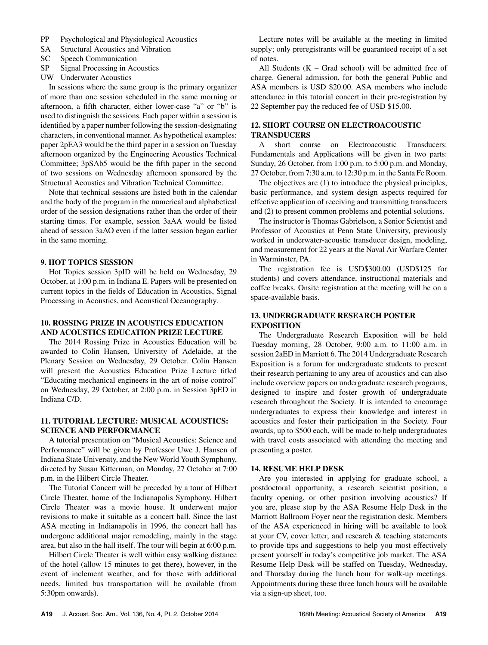- PP Psychological and Physiological Acoustics
- SA Structural Acoustics and Vibration
- SC Speech Communication
- SP Signal Processing in Acoustics
- UW Underwater Acoustics

In sessions where the same group is the primary organizer of more than one session scheduled in the same morning or afternoon, a fifth character, either lower-case "a" or "b" is used to distinguish the sessions. Each paper within a session is identified by a paper number following the session-designating characters, in conventional manner. As hypothetical examples: paper 2pEA3 would be the third paper in a session on Tuesday afternoon organized by the Engineering Acoustics Technical Committee; 3pSAb5 would be the fifth paper in the second of two sessions on Wednesday afternoon sponsored by the Structural Acoustics and Vibration Technical Committee.

Note that technical sessions are listed both in the calendar and the body of the program in the numerical and alphabetical order of the session designations rather than the order of their starting times. For example, session 3aAA would be listed ahead of session 3aAO even if the latter session began earlier in the same morning.

# **9. HOT TOPICS SESSION**

Hot Topics session 3pID will be held on Wednesday, 29 October, at 1:00 p.m. in Indiana E. Papers will be presented on current topics in the fields of Education in Acoustics, Signal Processing in Acoustics, and Acoustical Oceanography.

# **10. ROSSING PRIZE IN ACOUSTICS EDUCATION AND ACOUSTICS EDUCATION PRIZE LECTURE**

The 2014 Rossing Prize in Acoustics Education will be awarded to Colin Hansen, University of Adelaide, at the Plenary Session on Wednesday, 29 October. Colin Hansen will present the Acoustics Education Prize Lecture titled "Educating mechanical engineers in the art of noise control" on Wednesday, 29 October, at 2:00 p.m. in Session 3pED in Indiana C/D.

# **11. TUTORIAL LECTURE: MUSICAL ACOUSTICS: SCIENCE AND PERFORMANCE**

A tutorial presentation on "Musical Acoustics: Science and Performance" will be given by Professor Uwe J. Hansen of Indiana State University, and the New World Youth Symphony, directed by Susan Kitterman, on Monday, 27 October at 7:00 p.m. in the Hilbert Circle Theater.

The Tutorial Concert will be preceded by a tour of Hilbert Circle Theater, home of the Indianapolis Symphony. Hilbert Circle Theater was a movie house. It underwent major revisions to make it suitable as a concert hall. Since the last ASA meeting in Indianapolis in 1996, the concert hall has undergone additional major remodeling, mainly in the stage area, but also in the hall itself. The tour will begin at 6:00 p.m.

Hilbert Circle Theater is well within easy walking distance of the hotel (allow 15 minutes to get there), however, in the event of inclement weather, and for those with additional needs, limited bus transportation will be available (from 5:30pm onwards).

Lecture notes will be available at the meeting in limited supply; only preregistrants will be guaranteed receipt of a set of notes.

All Students  $(K - Grad school)$  will be admitted free of charge. General admission, for both the general Public and ASA members is USD \$20.00. ASA members who include attendance in this tutorial concert in their pre-registration by 22 September pay the reduced fee of USD \$15.00.

# **12. SHORT COURSE ON ELECTROACOUSTIC TRANSDUCERS**

A short course on Electroacoustic Transducers: Fundamentals and Applications will be given in two parts: Sunday, 26 October, from 1:00 p.m. to 5:00 p.m. and Monday, 27 October, from 7:30 a.m. to 12:30 p.m. in the Santa Fe Room.

The objectives are (1) to introduce the physical principles, basic performance, and system design aspects required for effective application of receiving and transmitting transducers and (2) to present common problems and potential solutions.

The instructor is Thomas Gabrielson, a Senior Scientist and Professor of Acoustics at Penn State University, previously worked in underwater-acoustic transducer design, modeling, and measurement for 22 years at the Naval Air Warfare Center in Warminster, PA.

The registration fee is USD\$300.00 (USD\$125 for students) and covers attendance, instructional materials and coffee breaks. Onsite registration at the meeting will be on a space-available basis.

# **13. UNDERGRADUATE RESEARCH POSTER EXPOSITION**

The Undergraduate Research Exposition will be held Tuesday morning, 28 October, 9:00 a.m. to 11:00 a.m. in session 2aED in Marriott 6. The 2014 Undergraduate Research Exposition is a forum for undergraduate students to present their research pertaining to any area of acoustics and can also include overview papers on undergraduate research programs, designed to inspire and foster growth of undergraduate research throughout the Society. It is intended to encourage undergraduates to express their knowledge and interest in acoustics and foster their participation in the Society. Four awards, up to \$500 each, will be made to help undergraduates with travel costs associated with attending the meeting and presenting a poster.

# **14. RESUME HELP DESK**

Are you interested in applying for graduate school, a postdoctoral opportunity, a research scientist position, a faculty opening, or other position involving acoustics? If you are, please stop by the ASA Resume Help Desk in the Marriott Ballroom Foyer near the registration desk. Members of the ASA experienced in hiring will be available to look at your CV, cover letter, and research & teaching statements to provide tips and suggestions to help you most effectively present yourself in today's competitive job market. The ASA Resume Help Desk will be staffed on Tuesday, Wednesday, and Thursday during the lunch hour for walk-up meetings. Appointments during these three lunch hours will be available via a sign-up sheet, too.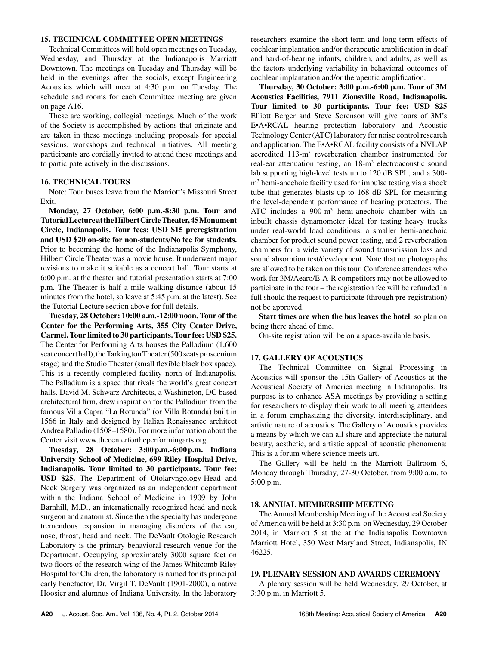### **15. TECHNICAL COMMITTEE OPEN MEETINGS**

Technical Committees will hold open meetings on Tuesday, Wednesday, and Thursday at the Indianapolis Marriott Downtown. The meetings on Tuesday and Thursday will be held in the evenings after the socials, except Engineering Acoustics which will meet at 4:30 p.m. on Tuesday. The schedule and rooms for each Committee meeting are given on page A16.

These are working, collegial meetings. Much of the work of the Society is accomplished by actions that originate and are taken in these meetings including proposals for special sessions, workshops and technical initiatives. All meeting participants are cordially invited to attend these meetings and to participate actively in the discussions.

## **16. TECHNICAL TOURS**

Note: Tour buses leave from the Marriott's Missouri Street Exit.

**Monday, 27 October, 6:00 p.m.-8:30 p.m. Tour and Tutorial Lecture at the Hilbert Circle Theater, 45 Monument Circle, Indianapolis. Tour fees: USD \$15 preregistration and USD \$20 on-site for non-students/No fee for students.** Prior to becoming the home of the Indianapolis Symphony, Hilbert Circle Theater was a movie house. It underwent major revisions to make it suitable as a concert hall. Tour starts at 6:00 p.m. at the theater and tutorial presentation starts at 7:00 p.m. The Theater is half a mile walking distance (about 15 minutes from the hotel, so leave at 5:45 p.m. at the latest). See the Tutorial Lecture section above for full details.

**Tuesday, 28 October: 10:00 a.m.-12:00 noon. Tour of the Center for the Performing Arts, 355 City Center Drive, Carmel. Tour limited to 30 participants. Tour fee: USD \$25.**  The Center for Performing Arts houses the Palladium (1,600 seat concert hall), the Tarkington Theater (500 seats proscenium stage) and the Studio Theater (small flexible black box space). This is a recently completed facility north of Indianapolis. The Palladium is a space that rivals the world's great concert halls. David M. Schwarz Architects, a Washington, DC based architectural firm, drew inspiration for the Palladium from the famous Villa Capra "La Rotunda" (or Villa Rotunda) built in 1566 in Italy and designed by Italian Renaissance architect Andrea Palladio (1508–1580). For more information about the Center visit www.thecenterfortheperformingarts.org.

**Tuesday, 28 October: 3:00 p.m.-6:00 p.m. Indiana Univer sity School of Medicine, 699 Riley Hospital Drive, Indianapolis. Tour limited to 30 participants. Tour fee: USD \$25.** The Department of Otolaryngology-Head and Neck Surgery was organized as an independent department within the Indiana School of Medicine in 1909 by John Barnhill, M.D., an internationally recognized head and neck surgeon and anatomist. Since then the specialty has undergone tremendous expansion in managing disorders of the ear, nose, throat, head and neck. The DeVault Otologic Research Laboratory is the primary behavioral research venue for the Department. Occupying approximately 3000 square feet on two floors of the research wing of the James Whitcomb Riley Hospital for Children, the laboratory is named for its principal early benefactor, Dr. Virgil T. DeVault (1901-2000), a native Hoosier and alumnus of Indiana University. In the laboratory

researchers examine the short-term and long-term effects of cochlear implantation and/or therapeutic amplification in deaf and hard-of-hearing infants, children, and adults, as well as the factors underlying variability in behavioral outcomes of cochlear implantation and/or therapeutic amplification.

**Thursday, 30 October: 3:00 p.m.-6:00 p.m. Tour of 3M Acoustics Facilities, 7911 Zionsville Road, Indianapolis. Tour limited to 30 participants. Tour fee: USD \$25** Elliott Berger and Steve Sorenson will give tours of 3M's E•A•RCAL hearing protection laboratory and Acoustic Technology Center (ATC) laboratory for noise control research and application. The E•A•RCAL facility consists of a NVLAP accredited 113-m<sup>3</sup> reverberation chamber instrumented for real-ear attenuation testing, an 18-m<sup>3</sup> electroacoustic sound lab supporting high-level tests up to 120 dB SPL, and a 300 m3 hemi-anechoic facility used for impulse testing via a shock tube that generates blasts up to 168 dB SPL for measuring the level-dependent performance of hearing protectors. The ATC includes a 900-m3 hemi-anechoic chamber with an inbuilt chassis dynamometer ideal for testing heavy trucks under real-world load conditions, a smaller hemi-anechoic chamber for product sound power testing, and 2 reverberation chambers for a wide variety of sound transmission loss and sound absorption test/development. Note that no photographs are allowed to be taken on this tour. Conference attendees who work for 3M/Aearo/E-A-R competitors may not be allowed to participate in the tour – the registration fee will be refunded in full should the request to participate (through pre-registration) not be approved.

**Start times are when the bus leaves the hotel**, so plan on being there ahead of time.

On-site registration will be on a space-available basis.

#### **17. GALLERY OF ACOUSTICS**

The Technical Committee on Signal Processing in Acoustics will sponsor the 15th Gallery of Acoustics at the Acoustical Society of America meeting in Indianapolis. Its purpose is to enhance ASA meetings by providing a setting for researchers to display their work to all meeting attendees in a forum emphasizing the diversity, interdisciplinary, and artistic nature of acoustics. The Gallery of Acoustics provides a means by which we can all share and appreciate the natural beauty, aesthetic, and artistic appeal of acoustic phenomena: This is a forum where science meets art.

The Gallery will be held in the Marriott Ballroom 6, Monday through Thursday, 27-30 October, from 9:00 a.m. to 5:00 p.m.

## **18. ANNUAL MEMBERSHIP MEETING**

The Annual Membership Meeting of the Acoustical Society of America will be held at 3:30 p.m. on Wednesday, 29 October 2014, in Marriott 5 at the at the Indianapolis Downtown Marriott Hotel, 350 West Maryland Street, Indianapolis, IN 46225.

### **19. PLENARY SESSION AND AWARDS CEREMONY**

A plenary session will be held Wednesday, 29 October, at 3:30 p.m. in Marriott 5.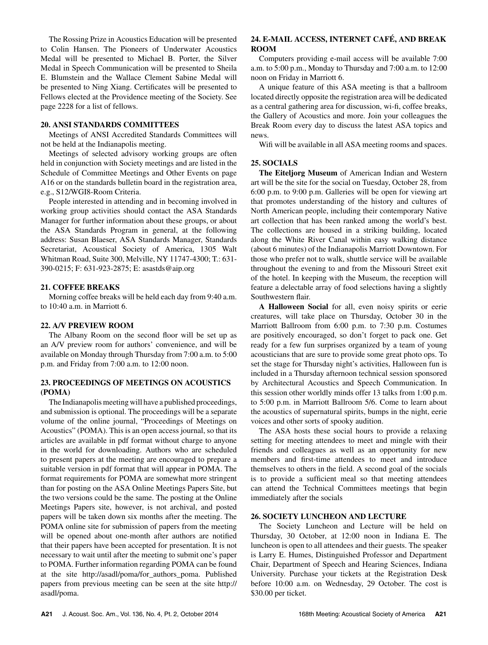The Rossing Prize in Acoustics Education will be presented to Colin Hansen. The Pioneers of Underwater Acoustics Medal will be presented to Michael B. Porter, the Silver Medal in Speech Communication will be presented to Sheila E. Blumstein and the Wallace Clement Sabine Medal will be presented to Ning Xiang. Certificates will be presented to Fellows elected at the Providence meeting of the Society. See page 2228 for a list of fellows.

#### **20. ANSI STANDARDS COMMITTEES**

Meetings of ANSI Accredited Standards Committees will not be held at the Indianapolis meeting.

Meetings of selected advisory working groups are often held in conjunction with Society meetings and are listed in the Schedule of Committee Meetings and Other Events on page A16 or on the standards bulletin board in the registration area, e.g., S12/WGI8-Room Criteria.

People interested in attending and in becoming involved in working group activities should contact the ASA Standards Manager for further information about these groups, or about the ASA Standards Program in general, at the following address: Susan Blaeser, ASA Standards Manager, Standards Secretariat, Acoustical Society of America, 1305 Walt Whitman Road, Suite 300, Melville, NY 11747-4300; T.: 631- 390-0215; F: 631-923-2875; E: asastds@aip.org

# **21. COFFEE BREAKS**

Morning coffee breaks will be held each day from 9:40 a.m. to 10:40 a.m. in Marriott 6.

# **22. A/V PREVIEW ROOM**

The Albany Room on the second floor will be set up as an A/V preview room for authors' convenience, and will be available on Monday through Thursday from 7:00 a.m. to 5:00 p.m. and Friday from 7:00 a.m. to 12:00 noon.

# **23. PROCEEDINGS OF MEETINGS ON ACOUSTICS (POMA)**

The Indianapolis meeting will have a published proceedings, and submission is optional. The proceedings will be a separate volume of the online journal, "Proceedings of Meetings on Acoustics" (POMA). This is an open access journal, so that its articles are available in pdf format without charge to anyone in the world for downloading. Authors who are scheduled to present papers at the meeting are encouraged to prepare a suitable version in pdf format that will appear in POMA. The format requirements for POMA are somewhat more stringent than for posting on the ASA Online Meetings Papers Site, but the two versions could be the same. The posting at the Online Meetings Papers site, however, is not archival, and posted papers will be taken down six months after the meeting. The POMA online site for submission of papers from the meeting will be opened about one-month after authors are notified that their papers have been accepted for presentation. It is not necessary to wait until after the meeting to submit one's paper to POMA. Further information regarding POMA can be found at the site http://asadl/poma/for\_authors\_poma. Published papers from previous meeting can be seen at the site http:// asadl/poma.

# **24. E-MAIL ACCESS, INTERNET CAFÉ, AND BREAK ROOM**

Computers providing e-mail access will be available 7:00 a.m. to 5:00 p.m., Monday to Thursday and 7:00 a.m. to 12:00 noon on Friday in Marriott 6.

A unique feature of this ASA meeting is that a ballroom located directly opposite the registration area will be dedicated as a central gathering area for discussion, wi-fi, coffee breaks, the Gallery of Acoustics and more. Join your colleagues the Break Room every day to discuss the latest ASA topics and news.

Wifi will be available in all ASA meeting rooms and spaces.

# **25. SOCIALS**

**The Eiteljorg Museum** of American Indian and Western art will be the site for the social on Tuesday, October 28, from 6:00 p.m. to 9:00 p.m. Galleries will be open for viewing art that promotes understanding of the history and cultures of North American people, including their contemporary Native art collection that has been ranked among the world's best. The collections are housed in a striking building, located along the White River Canal within easy walking distance (about 6 minutes) of the Indianapolis Marriott Downtown. For those who prefer not to walk, shuttle service will be available throughout the evening to and from the Missouri Street exit of the hotel. In keeping with the Museum, the reception will feature a delectable array of food selections having a slightly Southwestern flair.

**A Halloween Social** for all, even noisy spirits or eerie creatures, will take place on Thursday, October 30 in the Marriott Ballroom from 6:00 p.m. to 7:30 p.m. Costumes are positively encouraged, so don't forget to pack one. Get ready for a few fun surprises organized by a team of young acousticians that are sure to provide some great photo ops. To set the stage for Thursday night's activities, Halloween fun is included in a Thursday afternoon technical session sponsored by Architectural Acoustics and Speech Communication. In this session other worldly minds offer 13 talks from 1:00 p.m. to 5:00 p.m. in Marriott Ballroom 5/6. Come to learn about the acoustics of supernatural spirits, bumps in the night, eerie voices and other sorts of spooky audition.

The ASA hosts these social hours to provide a relaxing setting for meeting attendees to meet and mingle with their friends and colleagues as well as an opportunity for new members and first-time attendees to meet and introduce themselves to others in the field. A second goal of the socials is to provide a sufficient meal so that meeting attendees can attend the Technical Committees meetings that begin immediately after the socials

# **26. SOCIETY LUNCHEON AND LECTURE**

The Society Luncheon and Lecture will be held on Thursday, 30 October, at 12:00 noon in Indiana E. The luncheon is open to all attendees and their guests. The speaker is Larry E. Humes, Distinguished Professor and Department Chair, Department of Speech and Hearing Sciences, Indiana University. Purchase your tickets at the Registration Desk before 10:00 a.m. on Wednesday, 29 October. The cost is \$30.00 per ticket.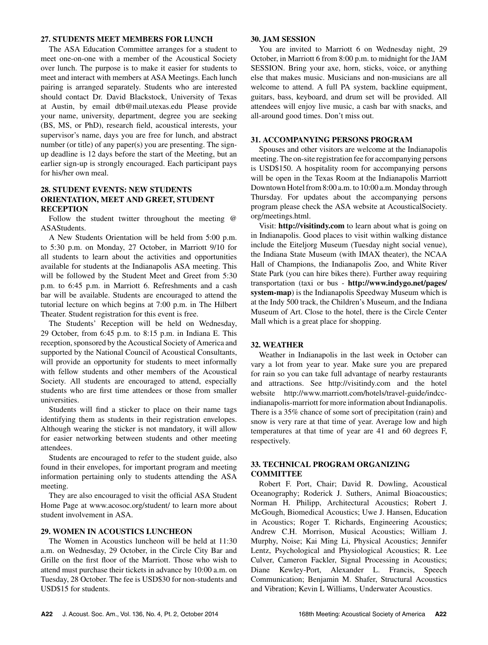### **27. STUDENTS MEET MEMBERS FOR LUNCH**

The ASA Education Committee arranges for a student to meet one-on-one with a member of the Acoustical Society over lunch. The purpose is to make it easier for students to meet and interact with members at ASA Meetings. Each lunch pairing is arranged separately. Students who are interested should contact Dr. David Blackstock, University of Texas at Austin, by email dtb@mail.utexas.edu Please provide your name, university, department, degree you are seeking (BS, MS, or PhD), research field, acoustical interests, your supervisor's name, days you are free for lunch, and abstract number (or title) of any paper(s) you are presenting. The signup deadline is 12 days before the start of the Meeting, but an earlier sign-up is strongly encouraged. Each participant pays for his/her own meal.

# **28. STUDENT EVENTS: NEW STUDENTS ORIENTATION, MEET AND GREET, STUDENT RECEPTION**

Follow the student twitter throughout the meeting @ ASAStudents.

A New Students Orientation will be held from 5:00 p.m. to 5:30 p.m. on Monday, 27 October, in Marriott 9/10 for all students to learn about the activities and opportunities available for students at the Indianapolis ASA meeting. This will be followed by the Student Meet and Greet from 5:30 p.m. to 6:45 p.m. in Marriott 6. Refreshments and a cash bar will be available. Students are encouraged to attend the tutorial lecture on which begins at 7:00 p.m. in The Hilbert Theater. Student registration for this event is free.

The Students' Reception will be held on Wednesday, 29 October, from 6:45 p.m. to 8:15 p.m. in Indiana E. This reception, sponsored by the Acoustical Society of America and supported by the National Council of Acoustical Consultants, will provide an opportunity for students to meet informally with fellow students and other members of the Acoustical Society. All students are encouraged to attend, especially students who are first time attendees or those from smaller universities.

Students will find a sticker to place on their name tags identifying them as students in their registration envelopes. Although wearing the sticker is not mandatory, it will allow for easier networking between students and other meeting attendees.

Students are encouraged to refer to the student guide, also found in their envelopes, for important program and meeting information pertaining only to students attending the ASA meeting.

They are also encouraged to visit the official ASA Student Home Page at www.acosoc.org/student/ to learn more about student involvement in ASA.

# **29. WOMEN IN ACOUSTICS LUNCHEON**

The Women in Acoustics luncheon will be held at 11:30 a.m. on Wednesday, 29 October, in the Circle City Bar and Grille on the first floor of the Marriott. Those who wish to attend must purchase their tickets in advance by 10:00 a.m. on Tuesday, 28 October. The fee is USD\$30 for non-students and USD\$15 for students.

### **30. JAM SESSION**

You are invited to Marriott 6 on Wednesday night, 29 October, in Marriott 6 from 8:00 p.m. to midnight for the JAM SESSION. Bring your axe, horn, sticks, voice, or anything else that makes music. Musicians and non-musicians are all welcome to attend. A full PA system, backline equipment, guitars, bass, keyboard, and drum set will be provided. All attendees will enjoy live music, a cash bar with snacks, and all-around good times. Don't miss out.

#### **31. ACCOMPANYING PERSONS PROGRAM**

Spouses and other visitors are welcome at the Indianapolis meeting. The on-site registration fee for accompanying persons is USD\$150. A hospitality room for accompanying persons will be open in the Texas Room at the Indianapolis Marriott Downtown Hotel from 8:00 a.m. to 10:00 a.m. Monday through Thursday. For updates about the accompanying persons program please check the ASA website at AcousticalSociety. org/meetings.html.

Visit: **http://visitindy.com** to learn about what is going on in Indianapolis. Good places to visit within walking distance include the Eiteljorg Museum (Tuesday night social venue), the Indiana State Museum (with IMAX theater), the NCAA Hall of Champions, the Indianapolis Zoo, and White River State Park (you can hire bikes there). Further away requiring transportation (taxi or bus - **http://www.indygo.net/pages/ system-map**) is the Indianapolis Speedway Museum which is at the Indy 500 track, the Children's Museum, and the Indiana Museum of Art. Close to the hotel, there is the Circle Center Mall which is a great place for shopping.

#### **32. WEATHER**

Weather in Indianapolis in the last week in October can vary a lot from year to year. Make sure you are prepared for rain so you can take full advantage of nearby restaurants and attractions. See http://visitindy.com and the hotel website http://www.marriott.com/hotels/travel-guide/indccindianapolis-marriott for more information about Indianapolis. There is a 35% chance of some sort of precipitation (rain) and snow is very rare at that time of year. Average low and high temperatures at that time of year are 41 and 60 degrees F, respectively.

# **33. TECHNICAL PROGRAM ORGANIZING COMMITTEE**

Robert F. Port, Chair; David R. Dowling, Acoustical Oceanography; Roderick J. Suthers, Animal Bioacoustics; Norman H. Philipp, Architectural Acoustics; Robert J. McGough, Biomedical Acoustics; Uwe J. Hansen, Education in Acoustics; Roger T. Richards, Engineering Acoustics; Andrew C.H. Morrison, Musical Acoustics; William J. Murphy, Noise; Kai Ming Li, Physical Acoustics; Jennifer Lentz, Psychological and Physiological Acoustics; R. Lee Culver, Cameron Fackler, Signal Processing in Acoustics; Diane Kewley-Port, Alexander L. Francis, Speech Communication; Benjamin M. Shafer, Structural Acoustics and Vibration; Kevin L Williams, Underwater Acoustics.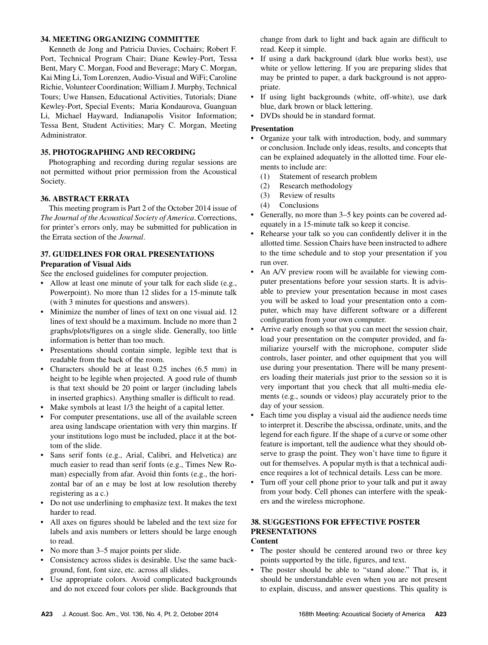## **34. MEETING ORGANIZING COMMITTEE**

Kenneth de Jong and Patricia Davies, Cochairs; Robert F. Port, Technical Program Chair; Diane Kewley-Port, Tessa Bent, Mary C. Morgan, Food and Beverage; Mary C. Morgan, Kai Ming Li, Tom Lorenzen, Audio-Visual and WiFi; Caroline Richie, Volunteer Coordination; William J. Murphy, Technical Tours; Uwe Hansen, Educational Activities, Tutorials; Diane Kewley-Port, Special Events; Maria Kondaurova, Guanguan Li, Michael Hayward, Indianapolis Visitor Information; Tessa Bent, Student Activities; Mary C. Morgan, Meeting Administrator.

# **35. PHOTOGRAPHING AND RECORDING**

Photographing and recording during regular sessions are not permitted without prior permission from the Acoustical Society.

# **36. ABSTRACT ERRATA**

This meeting program is Part 2 of the October 2014 issue of *The Journal of the Acoustical Society of America*. Corrections, for printer's errors only, may be submitted for publication in the Errata section of the *Journal*.

# **37. GUIDELINES FOR ORAL PRESENTATIONS Preparation of Visual Aids**

See the enclosed guidelines for computer projection.

- Allow at least one minute of your talk for each slide (e.g., Powerpoint). No more than 12 slides for a 15-minute talk (with 3 minutes for questions and answers).
- Minimize the number of lines of text on one visual aid. 12 lines of text should be a maximum. Include no more than 2 graphs/plots/figures on a single slide. Generally, too little information is better than too much.
- Presentations should contain simple, legible text that is readable from the back of the room.
- Characters should be at least 0.25 inches (6.5 mm) in height to be legible when projected. A good rule of thumb is that text should be 20 point or larger (including labels in inserted graphics). Anything smaller is difficult to read.
- Make symbols at least 1/3 the height of a capital letter.
- For computer presentations, use all of the available screen area using landscape orientation with very thin margins. If your institutions logo must be included, place it at the bottom of the slide.
- Sans serif fonts (e.g., Arial, Calibri, and Helvetica) are much easier to read than serif fonts (e.g., Times New Roman) especially from afar. Avoid thin fonts (e.g., the horizontal bar of an e may be lost at low resolution thereby registering as a c.)
- Do not use underlining to emphasize text. It makes the text harder to read.
- All axes on figures should be labeled and the text size for labels and axis numbers or letters should be large enough to read.
- No more than 3–5 major points per slide.
- Consistency across slides is desirable. Use the same background, font, font size, etc. across all slides.
- Use appropriate colors. Avoid complicated backgrounds and do not exceed four colors per slide. Backgrounds that

change from dark to light and back again are difficult to read. Keep it simple.

- If using a dark background (dark blue works best), use white or yellow lettering. If you are preparing slides that may be printed to paper, a dark background is not appropriate.
- If using light backgrounds (white, off-white), use dark blue, dark brown or black lettering.
- DVDs should be in standard format.

# **Presentation**

- Organize your talk with introduction, body, and summary or conclusion. Include only ideas, results, and concepts that can be explained adequately in the allotted time. Four elements to include are:
	- (1) Statement of research problem
	- (2) Research methodology
	- (3) Review of results
	- (4) Conclusions
- Generally, no more than 3–5 key points can be covered adequately in a 15-minute talk so keep it concise.
- Rehearse your talk so you can confidently deliver it in the allotted time. Session Chairs have been instructed to adhere to the time schedule and to stop your presentation if you run over.
- An A/V preview room will be available for viewing computer presentations before your session starts. It is advisable to preview your presentation because in most cases you will be asked to load your presentation onto a computer, which may have different software or a different configuration from your own computer.
- Arrive early enough so that you can meet the session chair, load your presentation on the computer provided, and familiarize yourself with the microphone, computer slide controls, laser pointer, and other equipment that you will use during your presentation. There will be many presenters loading their materials just prior to the session so it is very important that you check that all multi-media elements (e.g., sounds or videos) play accurately prior to the day of your session.
- Each time you display a visual aid the audience needs time to interpret it. Describe the abscissa, ordinate, units, and the legend for each figure. If the shape of a curve or some other feature is important, tell the audience what they should observe to grasp the point. They won't have time to figure it out for themselves. A popular myth is that a technical audience requires a lot of technical details. Less can be more.
- Turn off your cell phone prior to your talk and put it away from your body. Cell phones can interfere with the speakers and the wireless microphone.

## **38. SUGGESTIONS FOR EFFECTIVE POSTER PRESENTATIONS Content**

- The poster should be centered around two or three key points supported by the title, figures, and text.
- The poster should be able to "stand alone." That is, it should be understandable even when you are not present to explain, discuss, and answer questions. This quality is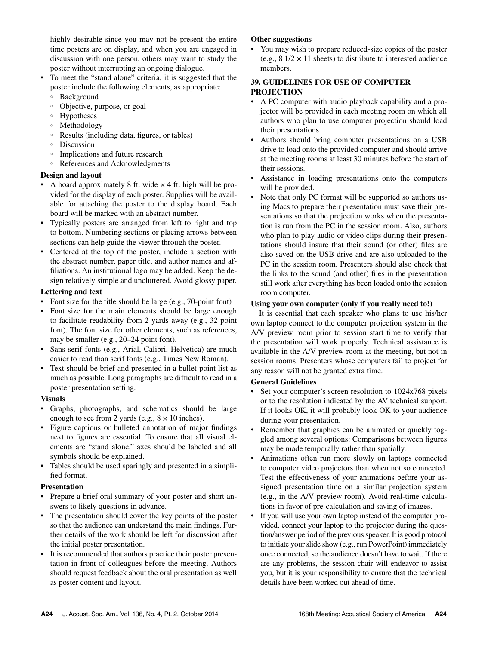highly desirable since you may not be present the entire time posters are on display, and when you are engaged in discussion with one person, others may want to study the poster without interrupting an ongoing dialogue.

- To meet the "stand alone" criteria, it is suggested that the poster include the following elements, as appropriate:
- **Background**
- Objective, purpose, or goal
- Hypotheses
- Methodology
- Results (including data, figures, or tables)
- Discussion
- Implications and future research
- References and Acknowledgments

# **Design and layout**

- A board approximately 8 ft. wide  $\times$  4 ft. high will be provided for the display of each poster. Supplies will be available for attaching the poster to the display board. Each board will be marked with an abstract number.
- Typically posters are arranged from left to right and top to bottom. Numbering sections or placing arrows between sections can help guide the viewer through the poster.
- Centered at the top of the poster, include a section with the abstract number, paper title, and author names and affiliations. An institutional logo may be added. Keep the design relatively simple and uncluttered. Avoid glossy paper.

# **Lettering and text**

- Font size for the title should be large (e.g., 70-point font)
- Font size for the main elements should be large enough to facilitate readability from 2 yards away (e.g., 32 point font). The font size for other elements, such as references, may be smaller (e.g., 20–24 point font).
- Sans serif fonts (e.g., Arial, Calibri, Helvetica) are much easier to read than serif fonts (e.g., Times New Roman).
- Text should be brief and presented in a bullet-point list as much as possible. Long paragraphs are difficult to read in a poster presentation setting.

# **Visuals**

- Graphs, photographs, and schematics should be large enough to see from 2 yards (e.g.,  $8 \times 10$  inches).
- Figure captions or bulleted annotation of major findings next to figures are essential. To ensure that all visual elements are "stand alone," axes should be labeled and all symbols should be explained.
- Tables should be used sparingly and presented in a simplified format.

# **Presentation**

- Prepare a brief oral summary of your poster and short answers to likely questions in advance.
- The presentation should cover the key points of the poster so that the audience can understand the main findings. Further details of the work should be left for discussion after the initial poster presentation.
- It is recommended that authors practice their poster presentation in front of colleagues before the meeting. Authors should request feedback about the oral presentation as well as poster content and layout.

# **Other suggestions**

• You may wish to prepare reduced-size copies of the poster (e.g.,  $8 \frac{1}{2} \times 11$  sheets) to distribute to interested audience members.

# **39. GUIDELINES FOR USE OF COMPUTER PROJECTION**

- A PC computer with audio playback capability and a projector will be provided in each meeting room on which all authors who plan to use computer projection should load their presentations.
- Authors should bring computer presentations on a USB drive to load onto the provided computer and should arrive at the meeting rooms at least 30 minutes before the start of their sessions.
- Assistance in loading presentations onto the computers will be provided.
- Note that only PC format will be supported so authors using Macs to prepare their presentation must save their presentations so that the projection works when the presentation is run from the PC in the session room. Also, authors who plan to play audio or video clips during their presentations should insure that their sound (or other) files are also saved on the USB drive and are also uploaded to the PC in the session room. Presenters should also check that the links to the sound (and other) files in the presentation still work after everything has been loaded onto the session room computer.

# **Using your own computer (only if you really need to!)**

It is essential that each speaker who plans to use his/her own laptop connect to the computer projection system in the A/V preview room prior to session start time to verify that the presentation will work properly. Technical assistance is available in the A/V preview room at the meeting, but not in session rooms. Presenters whose computers fail to project for any reason will not be granted extra time.

# **General Guidelines**

- Set your computer's screen resolution to 1024x768 pixels or to the resolution indicated by the AV technical support. If it looks OK, it will probably look OK to your audience during your presentation.
- Remember that graphics can be animated or quickly toggled among several options: Comparisons between figures may be made temporally rather than spatially.
- Animations often run more slowly on laptops connected to computer video projectors than when not so connected. Test the effectiveness of your animations before your assigned presentation time on a similar projection system (e.g., in the A/V preview room). Avoid real-time calculations in favor of pre-calculation and saving of images.
- If you will use your own laptop instead of the computer provided, connect your laptop to the projector during the question/answer period of the previous speaker. It is good protocol to initiate your slide show (e.g., run PowerPoint) immediately once connected, so the audience doesn't have to wait. If there are any problems, the session chair will endeavor to assist you, but it is your responsibility to ensure that the technical details have been worked out ahead of time.